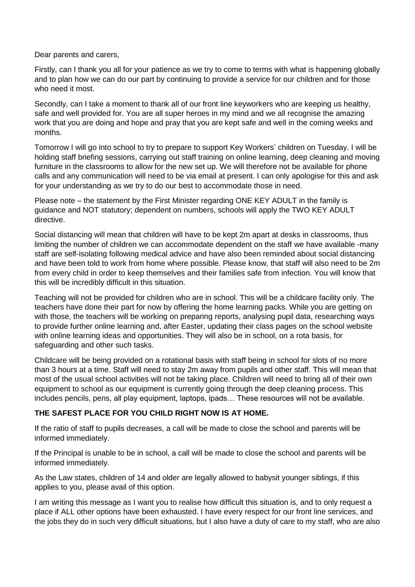Dear parents and carers,

Firstly, can I thank you all for your patience as we try to come to terms with what is happening globally and to plan how we can do our part by continuing to provide a service for our children and for those who need it most.

Secondly, can I take a moment to thank all of our front line keyworkers who are keeping us healthy, safe and well provided for. You are all super heroes in my mind and we all recognise the amazing work that you are doing and hope and pray that you are kept safe and well in the coming weeks and months.

Tomorrow I will go into school to try to prepare to support Key Workers' children on Tuesday. I will be holding staff briefing sessions, carrying out staff training on online learning, deep cleaning and moving furniture in the classrooms to allow for the new set up. We will therefore not be available for phone calls and any communication will need to be via email at present. I can only apologise for this and ask for your understanding as we try to do our best to accommodate those in need.

Please note – the statement by the First Minister regarding ONE KEY ADULT in the family is guidance and NOT statutory; dependent on numbers, schools will apply the TWO KEY ADULT directive.

Social distancing will mean that children will have to be kept 2m apart at desks in classrooms, thus limiting the number of children we can accommodate dependent on the staff we have available -many staff are self-isolating following medical advice and have also been reminded about social distancing and have been told to work from home where possible. Please know, that staff will also need to be 2m from every child in order to keep themselves and their families safe from infection. You will know that this will be incredibly difficult in this situation.

Teaching will not be provided for children who are in school. This will be a childcare facility only. The teachers have done their part for now by offering the home learning packs. While you are getting on with those, the teachers will be working on preparing reports, analysing pupil data, researching ways to provide further online learning and, after Easter, updating their class pages on the school website with online learning ideas and opportunities. They will also be in school, on a rota basis, for safeguarding and other such tasks.

Childcare will be being provided on a rotational basis with staff being in school for slots of no more than 3 hours at a time. Staff will need to stay 2m away from pupils and other staff. This will mean that most of the usual school activities will not be taking place. Children will need to bring all of their own equipment to school as our equipment is currently going through the deep cleaning process. This includes pencils, pens, all play equipment, laptops, ipads… These resources will not be available.

## **THE SAFEST PLACE FOR YOU CHILD RIGHT NOW IS AT HOME.**

If the ratio of staff to pupils decreases, a call will be made to close the school and parents will be informed immediately.

If the Principal is unable to be in school, a call will be made to close the school and parents will be informed immediately.

As the Law states, children of 14 and older are legally allowed to babysit younger siblings, if this applies to you, please avail of this option.

I am writing this message as I want you to realise how difficult this situation is, and to only request a place if ALL other options have been exhausted. I have every respect for our front line services, and the jobs they do in such very difficult situations, but I also have a duty of care to my staff, who are also